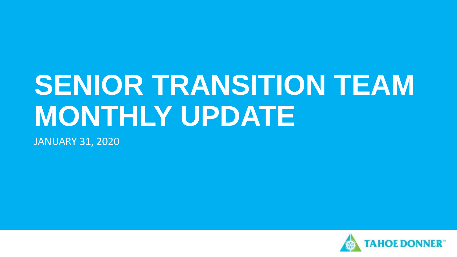# **SENIOR TRANSITION TEAM MONTHLY UPDATE**

JANUARY 31, 2020

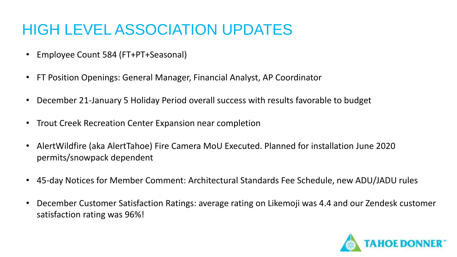### HIGH LEVEL ASSOCIATION UPDATES

- Employee Count 584 (FT+PT+Seasonal)
- FT Position Openings: General Manager, Financial Analyst, AP Coordinator
- December 21-January 5 Holiday Period overall success with results favorable to budget
- Trout Creek Recreation Center Expansion near completion
- AlertWildfire (aka AlertTahoe) Fire Camera MoU Executed. Planned for installation June 2020 permits/snowpack dependent
- 45-day Notices for Member Comment: Architectural Standards Fee Schedule, new ADU/JADU rules
- December Customer Satisfaction Ratings: average rating on Likemoji was 4.4 and our Zendesk customer satisfaction rating was 96%!

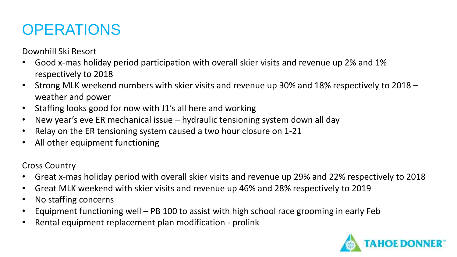Downhill Ski Resort

- Good x-mas holiday period participation with overall skier visits and revenue up 2% and 1% respectively to 2018
- Strong MLK weekend numbers with skier visits and revenue up 30% and 18% respectively to 2018 weather and power
- Staffing looks good for now with J1's all here and working
- New year's eve ER mechanical issue hydraulic tensioning system down all day
- Relay on the ER tensioning system caused a two hour closure on 1-21
- All other equipment functioning

Cross Country

- Great x-mas holiday period with overall skier visits and revenue up 29% and 22% respectively to 2018
- Great MLK weekend with skier visits and revenue up 46% and 28% respectively to 2019
- No staffing concerns
- Equipment functioning well PB 100 to assist with high school race grooming in early Feb
- Rental equipment replacement plan modification prolink

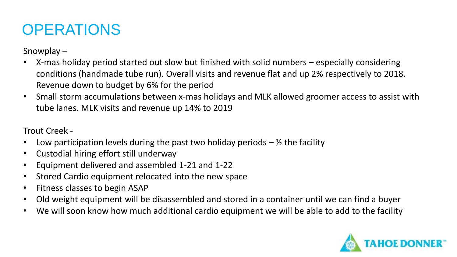Snowplay –

- X-mas holiday period started out slow but finished with solid numbers especially considering conditions (handmade tube run). Overall visits and revenue flat and up 2% respectively to 2018. Revenue down to budget by 6% for the period
- Small storm accumulations between x-mas holidays and MLK allowed groomer access to assist with tube lanes. MLK visits and revenue up 14% to 2019

Trout Creek -

- Low participation levels during the past two holiday periods  $-$  % the facility
- Custodial hiring effort still underway
- Equipment delivered and assembled 1-21 and 1-22
- Stored Cardio equipment relocated into the new space
- Fitness classes to begin ASAP
- Old weight equipment will be disassembled and stored in a container until we can find a buyer
- We will soon know how much additional cardio equipment we will be able to add to the facility

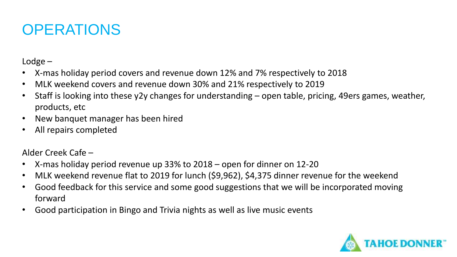Lodge –

- X-mas holiday period covers and revenue down 12% and 7% respectively to 2018
- MLK weekend covers and revenue down 30% and 21% respectively to 2019
- Staff is looking into these y2y changes for understanding open table, pricing, 49ers games, weather, products, etc
- New banquet manager has been hired
- All repairs completed

Alder Creek Cafe –

- X-mas holiday period revenue up 33% to 2018 open for dinner on 12-20
- MLK weekend revenue flat to 2019 for lunch (\$9,962), \$4,375 dinner revenue for the weekend
- Good feedback for this service and some good suggestions that we will be incorporated moving forward
- Good participation in Bingo and Trivia nights as well as live music events

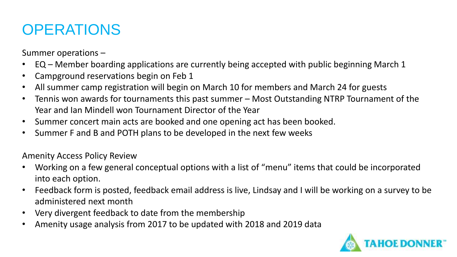Summer operations –

- EQ Member boarding applications are currently being accepted with public beginning March 1
- Campground reservations begin on Feb 1
- All summer camp registration will begin on March 10 for members and March 24 for guests
- Tennis won awards for tournaments this past summer Most Outstanding NTRP Tournament of the Year and Ian Mindell won Tournament Director of the Year
- Summer concert main acts are booked and one opening act has been booked.
- Summer F and B and POTH plans to be developed in the next few weeks

Amenity Access Policy Review

- Working on a few general conceptual options with a list of "menu" items that could be incorporated into each option.
- Feedback form is posted, feedback email address is live, Lindsay and I will be working on a survey to be administered next month
- Very divergent feedback to date from the membership
- Amenity usage analysis from 2017 to be updated with 2018 and 2019 data

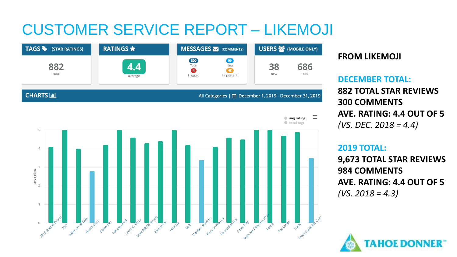### CUSTOMER SERVICE REPORT – LIKEMOJI



#### **FROM LIKEMOJI**

**DECEMBER TOTAL: 882 TOTAL STAR REVIEWS 300 COMMENTS AVE. RATING: 4.4 OUT OF 5** *(VS. DEC. 2018 = 4.4)*

#### **2019 TOTAL:**

**9,673 TOTAL STAR REVIEWS 984 COMMENTS AVE. RATING: 4.4 OUT OF 5** *(VS. 2018 = 4.3)*

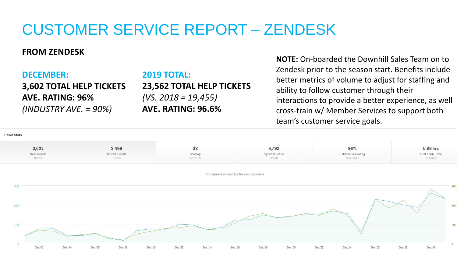### CUSTOMER SERVICE REPORT – ZENDESK

#### **FROM ZENDESK**

#### **DECEMBER:**

**3,602 TOTAL HELP TICKETS AVE. RATING: 96%** *(INDUSTRY AVE. = 90%)*

#### **2019 TOTAL:**

**23,562 TOTAL HELP TICKETS** *(VS. 2018 = 19,455)* **AVE. RATING: 96.6%** 

**NOTE:** On-boarded the Downhill Sales Team on to Zendesk prior to the season start. Benefits include better metrics of volume to adjust for staffing and ability to follow customer through their interactions to provide a better experience, as well cross-train w/ Member Services to support both team's customer service goals.

**Ticket Stats** 

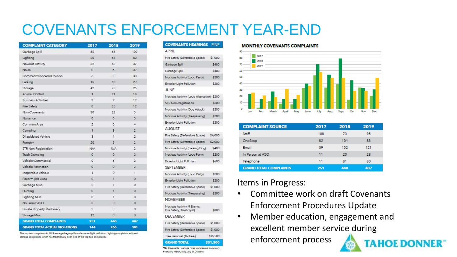### COVENANTS ENFORCEMENT YEAR-END

| <b>COMPLAINT CATEGORY</b>            | 2017           | 2018           | 2019            |
|--------------------------------------|----------------|----------------|-----------------|
| Garbage Spill                        | 56             | 66             | 102             |
| Lighting                             | 20             | 63             | 80              |
| Noxious Activity                     | 32             | 63             | 37              |
| Noise:                               | $\Omega$       | 5 <sup>1</sup> | 32              |
| Comment/Concern/Opinion              | 6              | 32             | 30              |
| Parking                              | 15             | 50             | 29              |
| Storage                              | 42             | 70             | 26              |
| Animal Control                       | $\mathbf{I}$   | 21             | 18              |
| <b>Business Activities</b>           | $\overline{3}$ | 9              | 12              |
| Fire Safety                          | $\circ$        | 20             | 12 <sup>°</sup> |
| Non-Covenants                        | 30             | 22             | 5               |
| Nuïsance                             | $\circ$        | o              | 5               |
| Common Area                          | $\overline{2}$ | $\circ$        | 4               |
| Camping                              | $\vert$ 1      | 3              | $\overline{2}$  |
| Dilapidated Vehicle                  | $\overline{3}$ | 1.1            | $\overline{2}$  |
| Forestry                             | 20             | 5              | $\overline{2}$  |
| STR Non-Registration                 | <b>N/A</b>     | N/A            | $\overline{2}$  |
| Trash Dumping                        | $\overline{0}$ | O.             | $\overline{2}$  |
| Vehicle/Commercial                   | $\circ$        | 6              | $\overline{2}$  |
| Vehicle Restriction                  | $\Omega$       | o              | $\overline{2}$  |
| Inoperable Vehicle                   | 1              | $\circ$        | 1               |
| Firearm (BB Gun)                     | ٥              | Ť.             | 0               |
| Garbage Misc.                        | $\overline{2}$ | $\mathbf{I}$   | 0               |
| Hunting                              | $\circ$        | 1              | $\circ$         |
| Lighting Misc.                       | $\circ$        | 1              | ö               |
| No Permit ASO                        | $\overline{3}$ | O.             | $\circ$         |
| Private Property Machinery           | $\overline{2}$ | $\circ$        | $\circ$         |
| Storage Misc.                        | 12             | $\circ$        | 0               |
| <b>GRAND TOTAL COMPLAINTS</b>        | 251            | 440            | 407             |
| <b>GRAND TOTAL ACTUAL VIOLATIONS</b> | 144            | 266            | 301             |

The top two complaints in 2019 were garbage spills and exterior light pollution. Lighting complaints eclipsed storage complaints, which has traditionally been one of the top two complaints.

#### **COVENANTS HEARINGS FINE**

| APRIL                                                    |         |
|----------------------------------------------------------|---------|
| Fire Safety (Defensible Space)                           | \$1,000 |
| Garbage Spill                                            | \$400   |
| Garbage Spill                                            | \$400   |
| Noxious Activity (Loud Party)                            | \$200   |
| Exterior Light Pollution                                 | \$200   |
| JUNE                                                     |         |
| Noxious Activity (Loud Altercation) \$200                |         |
| STR Non-Registration                                     | \$200   |
| Noxious Activity (Dog Attack)                            | \$200   |
| Noxious Activity (Trespassing)                           | \$200   |
| Exterior Light Pollution                                 | \$200   |
| AUGUST                                                   |         |
| Fire Safety (Defensible Space)                           | \$4,000 |
| Fire Safety (Defensible Space)                           | \$2,000 |
| Noxious Activity (Barking Dog)                           | \$400   |
| Noxious Activity (Loud Party)                            | \$200   |
| <b>Exterior Light Pollution</b>                          | \$600   |
| SEPTEMBER                                                |         |
| Noxious Activity (Loud Party)                            | \$200   |
| Exterior Light Pollution                                 | \$200   |
| Fire Safety (Defensible Space)                           | \$1,000 |
| Noxious Activity (Trespassing)                           | \$200   |
| <b>NOVEMBER</b>                                          |         |
| Naxious Activity (4 Events,<br>Fire Safety, Trash Spill) | \$800   |
| DECEMBER                                                 |         |
| Fire Safety (Defensible Space)                           | \$1,000 |

Fire Safety (Defensible Space)

\*No Covenants Hearings Fines were issued in January, February, March, May, July or October.

Tree Removal (16 Trees)

**GRAND TOTAL** 

\$1,000

\$16,500

\$31,300

#### **MONTHLY COVENANTS COMPLAINTS**



| <b>COMPLAINT SOURCE</b>       | 2017 | 2018 | 2019 |
|-------------------------------|------|------|------|
| Staff                         | 108  | 73   | 95   |
| OneStop                       | 82   | 104  | 83   |
| Email                         | 39   | 152  | 121  |
| In Person at ASO              | 11   | 20   | 28   |
| Telephone                     | 11   | 81   | 80   |
| <b>GRAND TOTAL COMPLAINTS</b> | 251  | 440  | 407  |

#### Items in Progress:

- Committee work on draft Covenants Enforcement Procedures Update
- Member education, engagement and excellent member service during enforcement process **AHOE DONNER**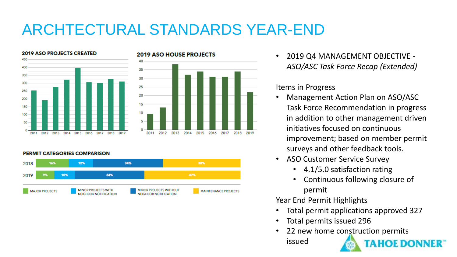# ARCHTECTURAL STANDARDS YEAR-END





#### **PERMIT CATEGORIES COMPARISON**



• 2019 Q4 MANAGEMENT OBJECTIVE - *ASO/ASC Task Force Recap (Extended)*

#### Items in Progress

- Management Action Plan on ASO/ASC Task Force Recommendation in progress in addition to other management driven initiatives focused on continuous improvement; based on member permit surveys and other feedback tools.
- ASO Customer Service Survey
	- 4.1/5.0 satisfaction rating
	- Continuous following closure of permit

Year End Permit Highlights

• Total permit applications approved 327

**AHOF DONNER** 

- Total permits issued 296
- 22 new home construction permits

issued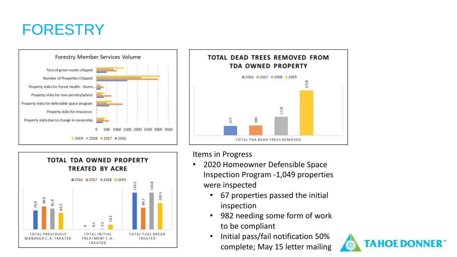### FORESTRY







Items in Progress

- 2020 Homeowner Defensible Space Inspection Program -1,049 properties were inspected
	- 67 properties passed the initial inspection
	- 982 needing some form of work to be compliant
	- Initial pass/fail notification 50% complete; May 15 letter mailing

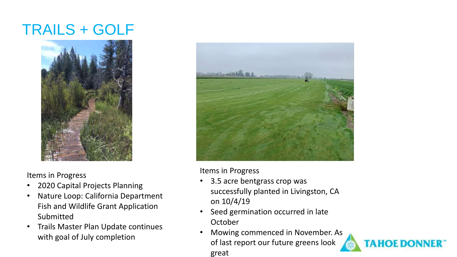### TRAILS + GOLF



Items in Progress

- 2020 Capital Projects Planning
- Nature Loop: California Department Fish and Wildlife Grant Application Submitted
- Trails Master Plan Update continues with goal of July completion



Items in Progress

- 3.5 acre bentgrass crop was successfully planted in Livingston, CA on 10/4/19
- Seed germination occurred in late October
- Mowing commenced in November. As of last report our future greens look great

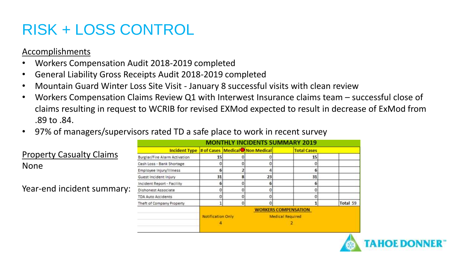# RISK + LOSS CONTROL

#### Accomplishments

- Workers Compensation Audit 2018-2019 completed
- General Liability Gross Receipts Audit 2018-2019 completed
- Mountain Guard Winter Loss Site Visit January 8 successful visits with clean review
- Workers Compensation Claims Review Q1 with Interwest Insurance claims team successful close of claims resulting in request to WCRIB for revised EXMod expected to result in decrease of ExMod from .89 to .84.
- 97% of managers/supervisors rated TD a safe place to work in recent survey

|                                 | <b>MONTHLY INCIDENTS SUMMARY 2019</b>          |                             |  |    |                         |          |
|---------------------------------|------------------------------------------------|-----------------------------|--|----|-------------------------|----------|
|                                 | Incident Type # of Cases   Medical Non Medical |                             |  |    | <b>Total Cases</b>      |          |
| <b>Property Casualty Claims</b> | <b>Burglar/Fire Alarm Activation</b>           | 15                          |  |    | 15                      |          |
| <b>None</b>                     | Cash Loss - Bank Shortage                      |                             |  |    |                         |          |
|                                 | Employee Injury/Illness                        |                             |  |    |                         |          |
|                                 | Guest Incident Injury                          |                             |  | 23 | 31                      |          |
|                                 | Incident Report - Facility                     |                             |  |    |                         |          |
| Year-end incident summary:      | Dishonest Associate                            |                             |  |    |                         |          |
|                                 | <b>TDA Auto Accidents</b>                      |                             |  |    |                         |          |
|                                 | Theft of Company Property                      |                             |  |    |                         | Total 59 |
|                                 |                                                | <b>WORKERS COMPENSATION</b> |  |    |                         |          |
|                                 |                                                | <b>Notification Only</b>    |  |    | <b>Medical Required</b> |          |
|                                 |                                                |                             |  |    |                         |          |
|                                 |                                                |                             |  |    |                         |          |

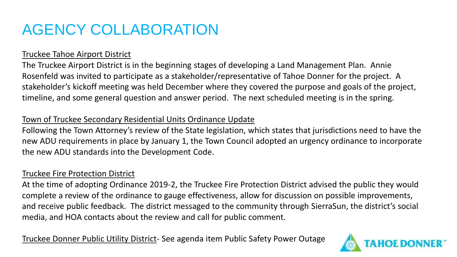# AGENCY COLLABORATION

#### Truckee Tahoe Airport District

The Truckee Airport District is in the beginning stages of developing a Land Management Plan. Annie Rosenfeld was invited to participate as a stakeholder/representative of Tahoe Donner for the project. A stakeholder's kickoff meeting was held December where they covered the purpose and goals of the project, timeline, and some general question and answer period. The next scheduled meeting is in the spring.

#### Town of Truckee Secondary Residential Units Ordinance Update

Following the Town Attorney's review of the State legislation, which states that jurisdictions need to have the new ADU requirements in place by January 1, the Town Council adopted an urgency ordinance to incorporate the new ADU standards into the Development Code.

#### Truckee Fire Protection District

At the time of adopting Ordinance 2019-2, the Truckee Fire Protection District advised the public they would complete a review of the ordinance to gauge effectiveness, allow for discussion on possible improvements, and receive public feedback. The district messaged to the community through SierraSun, the district's social media, and HOA contacts about the review and call for public comment.

Truckee Donner Public Utility District- See agenda item Public Safety Power Outage

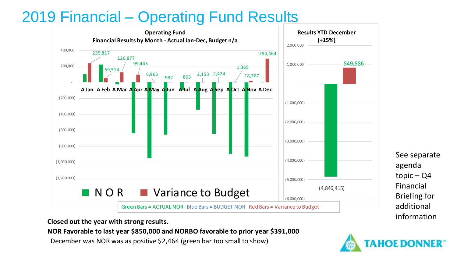### 2019 Financial – Operating Fund Results



See separate agenda topic – Q4 Financial Briefing for additional information

**Closed out the year with strong results.**

**NOR Favorable to last year \$850,000 and NORBO favorable to prior year \$391,000**

December was NOR was as positive \$2,464 (green bar too small to show)

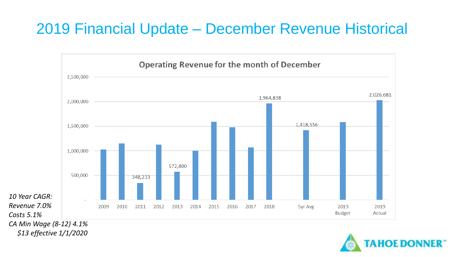### 2019 Financial Update – December Revenue Historical



*\$13 effective 1/1/2020*

*Costs 5.1%*

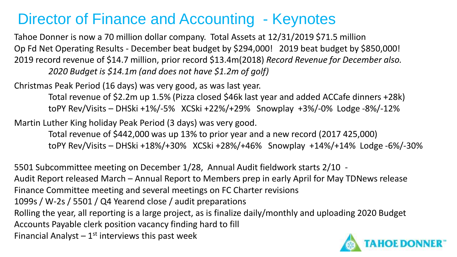### Director of Finance and Accounting - Keynotes

Tahoe Donner is now a 70 million dollar company. Total Assets at 12/31/2019 \$71.5 million Op Fd Net Operating Results - December beat budget by \$294,000! 2019 beat budget by \$850,000! 2019 record revenue of \$14.7 million, prior record \$13.4m(2018) *Record Revenue for December also. 2020 Budget is \$14.1m (and does not have \$1.2m of golf)*

Christmas Peak Period (16 days) was very good, as was last year.

Total revenue of \$2.2m up 1.5% (Pizza closed \$46k last year and added ACCafe dinners +28k) toPY Rev/Visits – DHSki +1%/-5% XCSki +22%/+29% Snowplay +3%/-0% Lodge -8%/-12%

Martin Luther King holiday Peak Period (3 days) was very good.

Total revenue of \$442,000 was up 13% to prior year and a new record (2017 425,000) toPY Rev/Visits – DHSki +18%/+30% XCSki +28%/+46% Snowplay +14%/+14% Lodge -6%/-30%

5501 Subcommittee meeting on December 1/28, Annual Audit fieldwork starts 2/10 - Audit Report released March – Annual Report to Members prep in early April for May TDNews release Finance Committee meeting and several meetings on FC Charter revisions 1099s / W-2s / 5501 / Q4 Yearend close / audit preparations Rolling the year, all reporting is a large project, as is finalize daily/monthly and uploading 2020 Budget Accounts Payable clerk position vacancy finding hard to fill Financial Analyst  $-1$ <sup>st</sup> interviews this past week

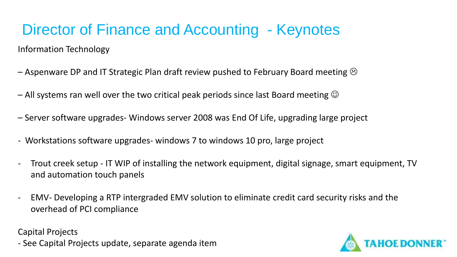# Director of Finance and Accounting - Keynotes

Information Technology

- Aspenware DP and IT Strategic Plan draft review pushed to February Board meeting  $\odot$
- All systems ran well over the two critical peak periods since last Board meeting  $\odot$
- Server software upgrades- Windows server 2008 was End Of Life, upgrading large project
- Workstations software upgrades- windows 7 to windows 10 pro, large project
- Trout creek setup IT WIP of installing the network equipment, digital signage, smart equipment, TV and automation touch panels
- EMV- Developing a RTP intergraded EMV solution to eliminate credit card security risks and the overhead of PCI compliance

Capital Projects

- See Capital Projects update, separate agenda item

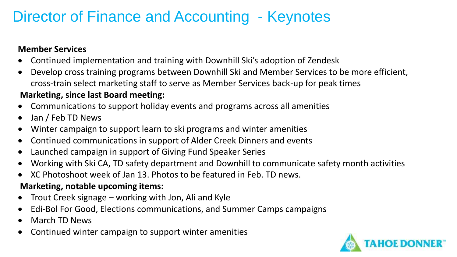### Director of Finance and Accounting - Keynotes

#### **Member Services**

- Continued implementation and training with Downhill Ski's adoption of Zendesk
- Develop cross training programs between Downhill Ski and Member Services to be more efficient, cross-train select marketing staff to serve as Member Services back-up for peak times

#### **Marketing, since last Board meeting:**

- Communications to support holiday events and programs across all amenities
- Jan / Feb TD News
- Winter campaign to support learn to ski programs and winter amenities
- Continued communications in support of Alder Creek Dinners and events
- Launched campaign in support of Giving Fund Speaker Series
- Working with Ski CA, TD safety department and Downhill to communicate safety month activities
- XC Photoshoot week of Jan 13. Photos to be featured in Feb. TD news.

#### **Marketing, notable upcoming items:**

- Trout Creek signage working with Jon, Ali and Kyle
- Edi-Bol For Good, Elections communications, and Summer Camps campaigns
- March TD News
- Continued winter campaign to support winter amenities